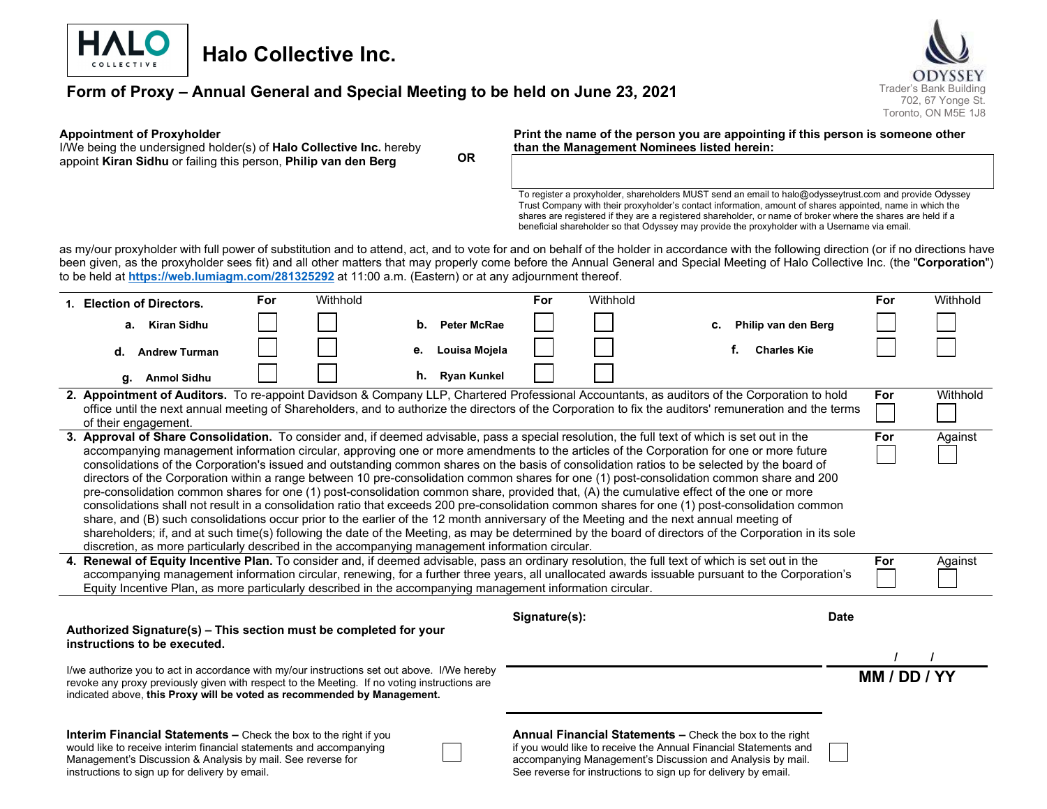

# Halo Collective Inc.

# Form of Proxy – Annual General and Special Meeting to be held on June 23, 2021 Trader's Bank Building



#### Appointment of Proxyholder

I/We being the undersigned holder(s) of Halo Collective Inc. hereby appoint Kiran Sidhu or failing this person, Philip van den Berg OR

#### Print the name of the person you are appointing if this person is someone other than the Management Nominees listed herein:

To register a proxyholder, shareholders MUST send an email to halo@odysseytrust.com and provide Odyssey Trust Company with their proxyholder's contact information, amount of shares appointed, name in which the shares are registered if they are a registered shareholder, or name of broker where the shares are held if a beneficial shareholder so that Odyssey may provide the proxyholder with a Username via email.

as my/our proxyholder with full power of substitution and to attend, act, and to vote for and on behalf of the holder in accordance with the following direction (or if no directions have been given, as the proxyholder sees fit) and all other matters that may properly come before the Annual General and Special Meeting of Halo Collective Inc. (the "Corporation") to be held at https://web.lumiagm.com/281325292 at 11:00 a.m. (Eastern) or at any adjournment thereof.

|                                                                                                                                                                                                                                                                                                                                                                                                                    | 1. Election of Directors.                                                                                                                                                                                                                                                                                                                                                                                                                                                                                                                                                                                                                                                                                                                                                                                                                                                                                                                                                                                                                                                                                                                                                                                                                                                                                        | For | Withhold |    |                    | For           | Withhold |                                                                                                                                                                                                                                                                     |    |                     |             | For | Withhold |
|--------------------------------------------------------------------------------------------------------------------------------------------------------------------------------------------------------------------------------------------------------------------------------------------------------------------------------------------------------------------------------------------------------------------|------------------------------------------------------------------------------------------------------------------------------------------------------------------------------------------------------------------------------------------------------------------------------------------------------------------------------------------------------------------------------------------------------------------------------------------------------------------------------------------------------------------------------------------------------------------------------------------------------------------------------------------------------------------------------------------------------------------------------------------------------------------------------------------------------------------------------------------------------------------------------------------------------------------------------------------------------------------------------------------------------------------------------------------------------------------------------------------------------------------------------------------------------------------------------------------------------------------------------------------------------------------------------------------------------------------|-----|----------|----|--------------------|---------------|----------|---------------------------------------------------------------------------------------------------------------------------------------------------------------------------------------------------------------------------------------------------------------------|----|---------------------|-------------|-----|----------|
|                                                                                                                                                                                                                                                                                                                                                                                                                    | a. Kiran Sidhu                                                                                                                                                                                                                                                                                                                                                                                                                                                                                                                                                                                                                                                                                                                                                                                                                                                                                                                                                                                                                                                                                                                                                                                                                                                                                                   |     |          | b. | <b>Peter McRae</b> |               |          | с.                                                                                                                                                                                                                                                                  |    | Philip van den Berg |             |     |          |
|                                                                                                                                                                                                                                                                                                                                                                                                                    | <b>Andrew Turman</b><br>d.                                                                                                                                                                                                                                                                                                                                                                                                                                                                                                                                                                                                                                                                                                                                                                                                                                                                                                                                                                                                                                                                                                                                                                                                                                                                                       |     |          | е. | Louisa Mojela      |               |          |                                                                                                                                                                                                                                                                     | f. | <b>Charles Kie</b>  |             |     |          |
|                                                                                                                                                                                                                                                                                                                                                                                                                    | <b>Anmol Sidhu</b><br>g.                                                                                                                                                                                                                                                                                                                                                                                                                                                                                                                                                                                                                                                                                                                                                                                                                                                                                                                                                                                                                                                                                                                                                                                                                                                                                         |     |          |    | h. Ryan Kunkel     |               |          |                                                                                                                                                                                                                                                                     |    |                     |             |     |          |
|                                                                                                                                                                                                                                                                                                                                                                                                                    | 2. Appointment of Auditors. To re-appoint Davidson & Company LLP, Chartered Professional Accountants, as auditors of the Corporation to hold<br>office until the next annual meeting of Shareholders, and to authorize the directors of the Corporation to fix the auditors' remuneration and the terms<br>of their engagement.                                                                                                                                                                                                                                                                                                                                                                                                                                                                                                                                                                                                                                                                                                                                                                                                                                                                                                                                                                                  |     |          |    |                    |               |          |                                                                                                                                                                                                                                                                     |    |                     |             | For | Withhold |
|                                                                                                                                                                                                                                                                                                                                                                                                                    | 3. Approval of Share Consolidation. To consider and, if deemed advisable, pass a special resolution, the full text of which is set out in the<br>For<br>Against<br>accompanying management information circular, approving one or more amendments to the articles of the Corporation for one or more future<br>consolidations of the Corporation's issued and outstanding common shares on the basis of consolidation ratios to be selected by the board of<br>directors of the Corporation within a range between 10 pre-consolidation common shares for one (1) post-consolidation common share and 200<br>pre-consolidation common shares for one (1) post-consolidation common share, provided that, (A) the cumulative effect of the one or more<br>consolidations shall not result in a consolidation ratio that exceeds 200 pre-consolidation common shares for one (1) post-consolidation common<br>share, and (B) such consolidations occur prior to the earlier of the 12 month anniversary of the Meeting and the next annual meeting of<br>shareholders; if, and at such time(s) following the date of the Meeting, as may be determined by the board of directors of the Corporation in its sole<br>discretion, as more particularly described in the accompanying management information circular. |     |          |    |                    |               |          |                                                                                                                                                                                                                                                                     |    |                     |             |     |          |
| 4. Renewal of Equity Incentive Plan. To consider and, if deemed advisable, pass an ordinary resolution, the full text of which is set out in the<br>accompanying management information circular, renewing, for a further three years, all unallocated awards issuable pursuant to the Corporation's<br>Equity Incentive Plan, as more particularly described in the accompanying management information circular. |                                                                                                                                                                                                                                                                                                                                                                                                                                                                                                                                                                                                                                                                                                                                                                                                                                                                                                                                                                                                                                                                                                                                                                                                                                                                                                                  |     |          |    |                    |               |          |                                                                                                                                                                                                                                                                     |    |                     |             | For | Against  |
|                                                                                                                                                                                                                                                                                                                                                                                                                    | Authorized Signature(s) - This section must be completed for your<br>instructions to be executed.                                                                                                                                                                                                                                                                                                                                                                                                                                                                                                                                                                                                                                                                                                                                                                                                                                                                                                                                                                                                                                                                                                                                                                                                                |     |          |    |                    | Signature(s): |          |                                                                                                                                                                                                                                                                     |    |                     | <b>Date</b> |     |          |
| I/we authorize you to act in accordance with my/our instructions set out above. I/We hereby<br>revoke any proxy previously given with respect to the Meeting. If no voting instructions are<br>indicated above, this Proxy will be voted as recommended by Management.                                                                                                                                             |                                                                                                                                                                                                                                                                                                                                                                                                                                                                                                                                                                                                                                                                                                                                                                                                                                                                                                                                                                                                                                                                                                                                                                                                                                                                                                                  |     |          |    |                    |               |          |                                                                                                                                                                                                                                                                     |    | MM / DD / YY        |             |     |          |
|                                                                                                                                                                                                                                                                                                                                                                                                                    | Interim Financial Statements - Check the box to the right if you<br>would like to receive interim financial statements and accompanying<br>Management's Discussion & Analysis by mail. See reverse for<br>instructions to sign up for delivery by email.                                                                                                                                                                                                                                                                                                                                                                                                                                                                                                                                                                                                                                                                                                                                                                                                                                                                                                                                                                                                                                                         |     |          |    |                    |               |          | <b>Annual Financial Statements – Check the box to the right</b><br>if you would like to receive the Annual Financial Statements and<br>accompanying Management's Discussion and Analysis by mail.<br>See reverse for instructions to sign up for delivery by email. |    |                     |             |     |          |